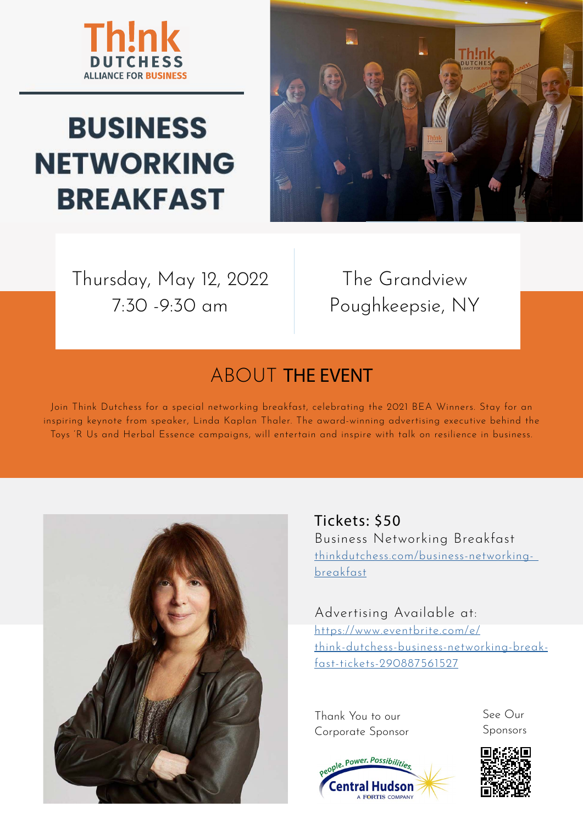

## **BUSINESS NETWORKING BREAKFAST**



Thursday, May 12, 2022 7:30 -9:30 am

The Grandview Poughkeepsie, NY

## ABOUT THE EVENT

Join Think Dutchess for a special networking breakfast, celebrating the 2021 BEA Winners. Stay for an inspiring keynote from speaker, Linda Kaplan Thaler. The award-winning advertising executive behind the Toys 'R Us and Herbal Essence campaigns, will entertain and inspire with talk on resilience in business.



Tickets: \$50 Business Networking Breakfast [thinkdutchess.com/business-networking](http://thinkdutchess.com/business-networking- breakfast)[breakfast](http://thinkdutchess.com/business-networking- breakfast)

Advertising Available at: [https://www.eventbrite.com/e/](https://www.eventbrite.com/e/think-dutchess-business-networking-breakfast-tickets-290887561527
) [think-dutchess-business-networking-break](https://www.eventbrite.com/e/think-dutchess-business-networking-breakfast-tickets-290887561527
)[fast-tickets-290887561527](https://www.eventbrite.com/e/think-dutchess-business-networking-breakfast-tickets-290887561527
)

Thank You to our Corporate Sponsor